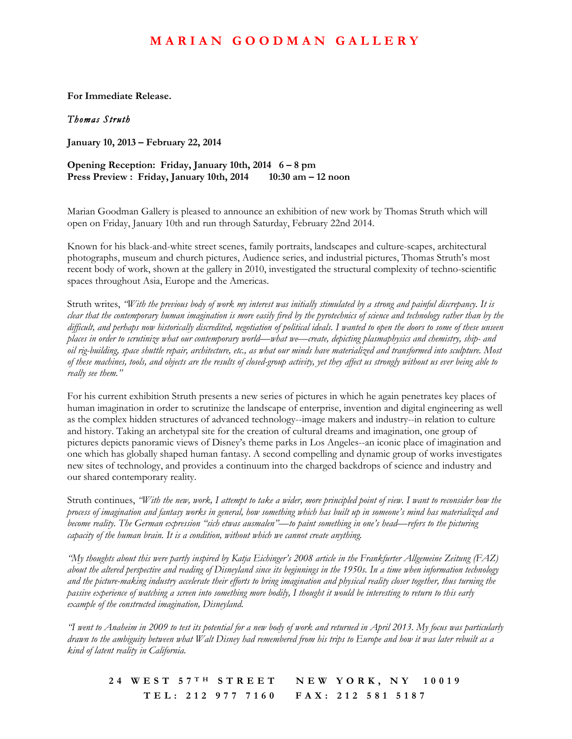## **MARIAN GOODMAN GALLE R Y**

**For Immediate Release.** 

*Thomas Struth* 

**January 10, 2013 – February 22, 2014**

**Opening Reception: Friday, January 10th, 2014 6 – 8 pm Press Preview : Friday, January 10th, 2014 10:30 am – 12 noon**

Marian Goodman Gallery is pleased to announce an exhibition of new work by Thomas Struth which will open on Friday, January 10th and run through Saturday, February 22nd 2014.

Known for his black-and-white street scenes, family portraits, landscapes and culture-scapes, architectural photographs, museum and church pictures, Audience series, and industrial pictures, Thomas Struth's most recent body of work, shown at the gallery in 2010, investigated the structural complexity of techno-scientific spaces throughout Asia, Europe and the Americas.

Struth writes, *"With the previous body of work my interest was initially stimulated by a strong and painful discrepancy. It is clear that the contemporary human imagination is more easily fired by the pyrotechnics of science and technology rather than by the difficult, and perhaps now historically discredited, negotiation of political ideals. I wanted to open the doors to some of these unseen places in order to scrutinize what our contemporary world—what we—create, depicting plasmaphysics and chemistry, ship- and oil rig-building, space shuttle repair, architecture, etc., as what our minds have materialized and transformed into sculpture. Most of these machines, tools, and objects are the results of closed-group activity, yet they affect us strongly without us ever being able to really see them."*

For his current exhibition Struth presents a new series of pictures in which he again penetrates key places of human imagination in order to scrutinize the landscape of enterprise, invention and digital engineering as well as the complex hidden structures of advanced technology--image makers and industry--in relation to culture and history. Taking an archetypal site for the creation of cultural dreams and imagination, one group of pictures depicts panoramic views of Disney's theme parks in Los Angeles--an iconic place of imagination and one which has globally shaped human fantasy. A second compelling and dynamic group of works investigates new sites of technology, and provides a continuum into the charged backdrops of science and industry and our shared contemporary reality.

Struth continues, *"With the new, work, I attempt to take a wider, more principled point of view. I want to reconsider how the process of imagination and fantasy works in general, how something which has built up in someone's mind has materialized and become reality. The German expression "sich etwas ausmalen"—to paint something in one's head—refers to the picturing capacity of the human brain. It is a condition, without which we cannot create anything.*

*"My thoughts about this were partly inspired by Katja Eichinger's 2008 article in the Frankfurter Allgemeine Zeitung (FAZ) about the altered perspective and reading of Disneyland since its beginnings in the 1950s. In a time when information technology and the picture-making industry accelerate their efforts to bring imagination and physical reality closer together, thus turning the passive experience of watching a screen into something more bodily, I thought it would be interesting to return to this early example of the constructed imagination, Disneyland.*

*"I went to Anaheim in 2009 to test its potential for a new body of work and returned in April 2013. My focus was particularly drawn to the ambiguity between what Walt Disney had remembered from his trips to Europe and how it was later rebuilt as a kind of latent reality in California.*

**24 WEST 57 T H STREET NEW YORK, NY 10019 TEL: 212 977 7160 FAX: 212 581 5187**